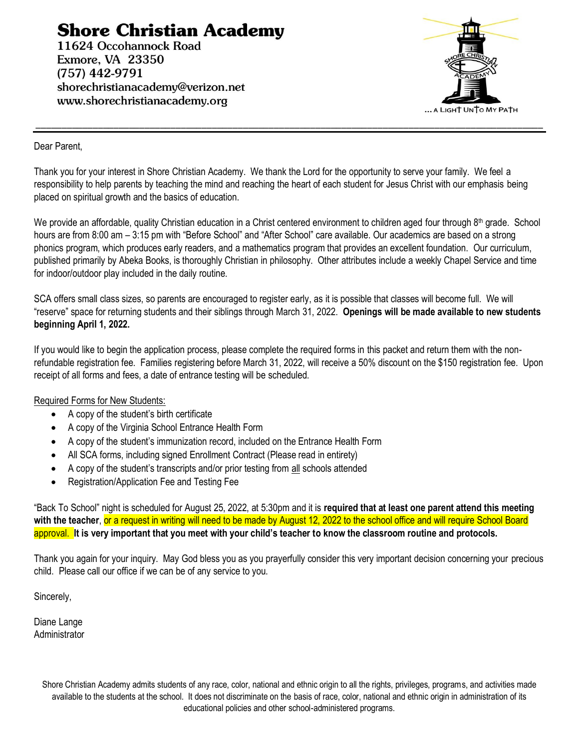# **Shore Christian Academy**

11624 Occohannock Road Exmore, VA 23350  $(757)$  442-9791 shorechristianacademy@verizon.net www.shorechristianacademy.org



#### Dear Parent,

Thank you for your interest in Shore Christian Academy. We thank the Lord for the opportunity to serve your family. We feel a responsibility to help parents by teaching the mind and reaching the heart of each student for Jesus Christ with our emphasis being placed on spiritual growth and the basics of education.

\_\_\_\_\_\_\_\_\_\_\_\_\_\_\_\_\_\_\_\_\_\_\_\_\_\_\_\_\_\_\_\_\_\_\_\_\_\_\_\_\_\_\_\_\_\_\_\_\_\_\_\_\_\_\_\_\_\_\_\_\_\_\_\_\_\_\_\_\_\_\_\_\_\_\_\_\_\_\_\_\_\_\_\_\_\_\_\_\_\_\_\_\_\_\_\_\_\_

We provide an affordable, quality Christian education in a Christ centered environment to children aged four through  $8<sup>th</sup>$  grade. School hours are from 8:00 am – 3:15 pm with "Before School" and "After School" care available. Our academics are based on a strong phonics program, which produces early readers, and a mathematics program that provides an excellent foundation. Our curriculum, published primarily by Abeka Books, is thoroughly Christian in philosophy. Other attributes include a weekly Chapel Service and time for indoor/outdoor play included in the daily routine.

SCA offers small class sizes, so parents are encouraged to register early, as it is possible that classes will become full. We will "reserve" space for returning students and their siblings through March 31, 2022. **Openings will be made available to new students beginning April 1, 2022.**

If you would like to begin the application process, please complete the required forms in this packet and return them with the nonrefundable registration fee. Families registering before March 31, 2022, will receive a 50% discount on the \$150 registration fee. Upon receipt of all forms and fees, a date of entrance testing will be scheduled.

#### Required Forms for New Students:

- A copy of the student's birth certificate
- A copy of the Virginia School Entrance Health Form
- A copy of the student's immunization record, included on the Entrance Health Form
- All SCA forms, including signed Enrollment Contract (Please read in entirety)
- A copy of the student's transcripts and/or prior testing from all schools attended
- Registration/Application Fee and Testing Fee

"Back To School" night is scheduled for August 25, 2022, at 5:30pm and it is **required that at least one parent attend this meeting with the teacher**, or a request in writing will need to be made by August 12, 2022 to the school office and will require School Board approval. **It is very important that you meet with your child's teacher to know the classroom routine and protocols.**

Thank you again for your inquiry. May God bless you as you prayerfully consider this very important decision concerning your precious child. Please call our office if we can be of any service to you.

Sincerely,

Diane Lange Administrator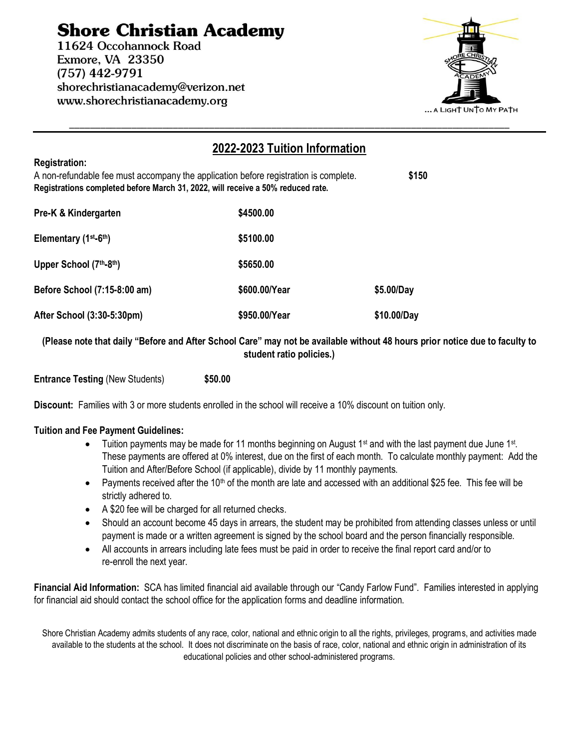# **Shore Christian Academy**

11624 Occohannock Road Exmore, VA 23350  $(757)$  442-9791 shorechristianacademy@verizon.net www.shorechristianacademy.org



#### **2022-2023 Tuition Information Registration:** A non-refundable fee must accompany the application before registration is complete. **\$150 Registrations completed before March 31, 2022, will receive a 50% reduced rate. Pre-K & Kindergarten \$4500.00** Elementary (1<sup>st</sup>-6<sup>th</sup>) **th) \$5100.00 Upper School (7th-8 th) \$5650.00 Before School (7:15-8:00 am) \$600.00/Year \$5.00/Day After School (3:30-5:30pm) \$950.00/Year \$10.00/Day**

**(Please note that daily "Before and After School Care" may not be available without 48 hours prior notice due to faculty to student ratio policies.)**

**Entrance Testing** (New Students) **\$50.00**

**Discount:** Families with 3 or more students enrolled in the school will receive a 10% discount on tuition only.

#### **Tuition and Fee Payment Guidelines:**

- Tuition payments may be made for 11 months beginning on August 1<sup>st</sup> and with the last payment due June 1<sup>st</sup>. These payments are offered at 0% interest, due on the first of each month. To calculate monthly payment: Add the Tuition and After/Before School (if applicable), divide by 11 monthly payments.
- Payments received after the 10<sup>th</sup> of the month are late and accessed with an additional \$25 fee. This fee will be strictly adhered to.
- A \$20 fee will be charged for all returned checks.
- Should an account become 45 days in arrears, the student may be prohibited from attending classes unless or until payment is made or a written agreement is signed by the school board and the person financially responsible.
- All accounts in arrears including late fees must be paid in order to receive the final report card and/or to re-enroll the next year.

**Financial Aid Information:** SCA has limited financial aid available through our "Candy Farlow Fund". Families interested in applying for financial aid should contact the school office for the application forms and deadline information.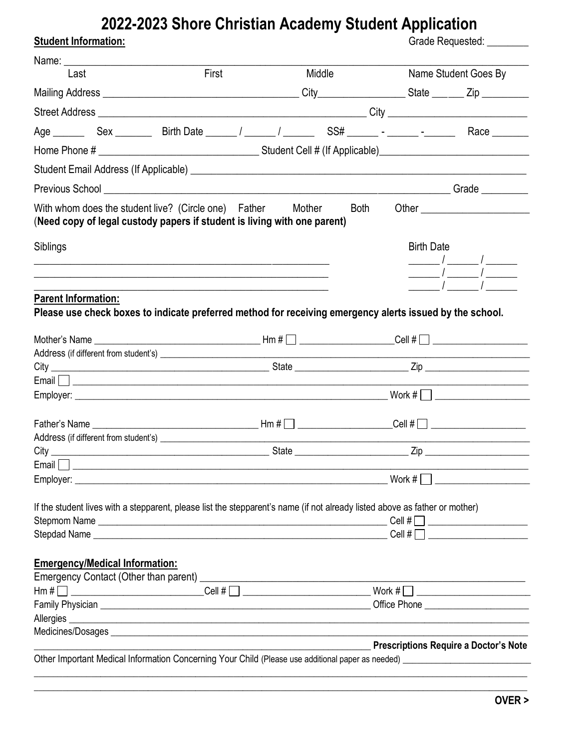# 2022-2023 Shore Christian Academy Student Application

| First<br>Last<br>With whom does the student live? (Circle one) Father<br>(Need copy of legal custody papers if student is living with one parent)<br>Siblings<br><u> 2000 - 2000 - 2000 - 2000 - 2000 - 2000 - 2000 - 2000 - 2000 - 2000 - 2000 - 2000 - 2000 - 2000 - 2000 - 200</u><br><u> 1989 - Jan James James James James James James James James James James James James James James James James J</u><br><u> 1989 - Johann John Stone, markin sanadi ya kutoka mwaka wa 1989 - Amerika mwaka wa 1989 - Amerika mwaka wa 19</u><br><b>Parent Information:</b><br>Please use check boxes to indicate preferred method for receiving emergency alerts issued by the school. | <b>Middle</b><br>Mother<br><b>Both</b> |                   | Name Student Goes By                                                                                                                                                                                                                                                                                                                                                                                                            |
|----------------------------------------------------------------------------------------------------------------------------------------------------------------------------------------------------------------------------------------------------------------------------------------------------------------------------------------------------------------------------------------------------------------------------------------------------------------------------------------------------------------------------------------------------------------------------------------------------------------------------------------------------------------------------------|----------------------------------------|-------------------|---------------------------------------------------------------------------------------------------------------------------------------------------------------------------------------------------------------------------------------------------------------------------------------------------------------------------------------------------------------------------------------------------------------------------------|
|                                                                                                                                                                                                                                                                                                                                                                                                                                                                                                                                                                                                                                                                                  |                                        |                   |                                                                                                                                                                                                                                                                                                                                                                                                                                 |
|                                                                                                                                                                                                                                                                                                                                                                                                                                                                                                                                                                                                                                                                                  |                                        |                   |                                                                                                                                                                                                                                                                                                                                                                                                                                 |
|                                                                                                                                                                                                                                                                                                                                                                                                                                                                                                                                                                                                                                                                                  |                                        |                   |                                                                                                                                                                                                                                                                                                                                                                                                                                 |
|                                                                                                                                                                                                                                                                                                                                                                                                                                                                                                                                                                                                                                                                                  |                                        |                   |                                                                                                                                                                                                                                                                                                                                                                                                                                 |
|                                                                                                                                                                                                                                                                                                                                                                                                                                                                                                                                                                                                                                                                                  |                                        |                   |                                                                                                                                                                                                                                                                                                                                                                                                                                 |
|                                                                                                                                                                                                                                                                                                                                                                                                                                                                                                                                                                                                                                                                                  |                                        |                   |                                                                                                                                                                                                                                                                                                                                                                                                                                 |
|                                                                                                                                                                                                                                                                                                                                                                                                                                                                                                                                                                                                                                                                                  |                                        |                   |                                                                                                                                                                                                                                                                                                                                                                                                                                 |
|                                                                                                                                                                                                                                                                                                                                                                                                                                                                                                                                                                                                                                                                                  |                                        |                   |                                                                                                                                                                                                                                                                                                                                                                                                                                 |
|                                                                                                                                                                                                                                                                                                                                                                                                                                                                                                                                                                                                                                                                                  |                                        |                   | Other <u>Communication</u>                                                                                                                                                                                                                                                                                                                                                                                                      |
|                                                                                                                                                                                                                                                                                                                                                                                                                                                                                                                                                                                                                                                                                  |                                        | <b>Birth Date</b> | $\frac{1}{\sqrt{1-\frac{1}{2}}}\frac{1}{\sqrt{1-\frac{1}{2}}}\frac{1}{\sqrt{1-\frac{1}{2}}}\frac{1}{\sqrt{1-\frac{1}{2}}}\frac{1}{\sqrt{1-\frac{1}{2}}}\frac{1}{\sqrt{1-\frac{1}{2}}}\frac{1}{\sqrt{1-\frac{1}{2}}}\frac{1}{\sqrt{1-\frac{1}{2}}}\frac{1}{\sqrt{1-\frac{1}{2}}}\frac{1}{\sqrt{1-\frac{1}{2}}}\frac{1}{\sqrt{1-\frac{1}{2}}}\frac{1}{\sqrt{1-\frac{1}{2}}}\frac{1}{\sqrt{1-\frac{1}{2}}}\frac{1}{\sqrt{1-\frac{$ |
|                                                                                                                                                                                                                                                                                                                                                                                                                                                                                                                                                                                                                                                                                  |                                        |                   |                                                                                                                                                                                                                                                                                                                                                                                                                                 |
|                                                                                                                                                                                                                                                                                                                                                                                                                                                                                                                                                                                                                                                                                  |                                        |                   |                                                                                                                                                                                                                                                                                                                                                                                                                                 |
|                                                                                                                                                                                                                                                                                                                                                                                                                                                                                                                                                                                                                                                                                  |                                        |                   |                                                                                                                                                                                                                                                                                                                                                                                                                                 |
|                                                                                                                                                                                                                                                                                                                                                                                                                                                                                                                                                                                                                                                                                  |                                        |                   |                                                                                                                                                                                                                                                                                                                                                                                                                                 |
|                                                                                                                                                                                                                                                                                                                                                                                                                                                                                                                                                                                                                                                                                  |                                        |                   |                                                                                                                                                                                                                                                                                                                                                                                                                                 |
|                                                                                                                                                                                                                                                                                                                                                                                                                                                                                                                                                                                                                                                                                  |                                        |                   | $\mathsf{Cell}\ \sharp \Box$ __________________                                                                                                                                                                                                                                                                                                                                                                                 |
|                                                                                                                                                                                                                                                                                                                                                                                                                                                                                                                                                                                                                                                                                  | State                                  | Zip               |                                                                                                                                                                                                                                                                                                                                                                                                                                 |
| Email <b>Executive Contract Contract Contract Contract Contract Contract Contract Contract Contract Contract Contract Contract Contract Contract Contract Contract Contract Contract Contract Contract Contract Contract Contrac</b>                                                                                                                                                                                                                                                                                                                                                                                                                                             |                                        | Work $\#$         |                                                                                                                                                                                                                                                                                                                                                                                                                                 |
| If the student lives with a stepparent, please list the stepparent's name (if not already listed above as father or mother)                                                                                                                                                                                                                                                                                                                                                                                                                                                                                                                                                      |                                        |                   |                                                                                                                                                                                                                                                                                                                                                                                                                                 |
| <b>Emergency/Medical Information:</b>                                                                                                                                                                                                                                                                                                                                                                                                                                                                                                                                                                                                                                            |                                        |                   |                                                                                                                                                                                                                                                                                                                                                                                                                                 |
|                                                                                                                                                                                                                                                                                                                                                                                                                                                                                                                                                                                                                                                                                  |                                        |                   |                                                                                                                                                                                                                                                                                                                                                                                                                                 |
|                                                                                                                                                                                                                                                                                                                                                                                                                                                                                                                                                                                                                                                                                  |                                        |                   |                                                                                                                                                                                                                                                                                                                                                                                                                                 |
|                                                                                                                                                                                                                                                                                                                                                                                                                                                                                                                                                                                                                                                                                  |                                        |                   |                                                                                                                                                                                                                                                                                                                                                                                                                                 |
| Medicines/Dosages entrance and the contract of the contract of the contract of the contract of the contract of                                                                                                                                                                                                                                                                                                                                                                                                                                                                                                                                                                   |                                        |                   |                                                                                                                                                                                                                                                                                                                                                                                                                                 |
| <b>Example 20 Prescriptions Require a Doctor's Note</b> Prescriptions Require a Doctor's Note                                                                                                                                                                                                                                                                                                                                                                                                                                                                                                                                                                                    |                                        |                   |                                                                                                                                                                                                                                                                                                                                                                                                                                 |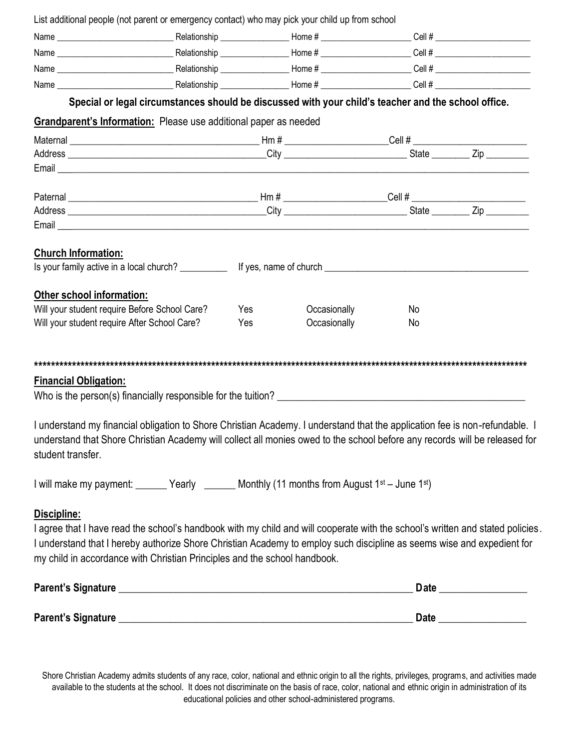| List additional people (not parent or emergency contact) who may pick your child up from school                                |     |                                                                                                     |    |                        |
|--------------------------------------------------------------------------------------------------------------------------------|-----|-----------------------------------------------------------------------------------------------------|----|------------------------|
|                                                                                                                                |     |                                                                                                     |    |                        |
|                                                                                                                                |     |                                                                                                     |    |                        |
|                                                                                                                                |     |                                                                                                     |    |                        |
|                                                                                                                                |     |                                                                                                     |    |                        |
|                                                                                                                                |     | Special or legal circumstances should be discussed with your child's teacher and the school office. |    |                        |
|                                                                                                                                |     |                                                                                                     |    |                        |
| Grandparent's Information: Please use additional paper as needed                                                               |     |                                                                                                     |    |                        |
|                                                                                                                                |     |                                                                                                     |    |                        |
|                                                                                                                                |     |                                                                                                     |    |                        |
|                                                                                                                                |     |                                                                                                     |    |                        |
|                                                                                                                                |     |                                                                                                     |    |                        |
|                                                                                                                                |     |                                                                                                     |    |                        |
|                                                                                                                                |     |                                                                                                     |    |                        |
|                                                                                                                                |     |                                                                                                     |    |                        |
| <b>Church Information:</b>                                                                                                     |     |                                                                                                     |    |                        |
|                                                                                                                                |     |                                                                                                     |    |                        |
|                                                                                                                                |     |                                                                                                     |    |                        |
| Other school information:                                                                                                      |     |                                                                                                     |    |                        |
| Will your student require Before School Care?                                                                                  | Yes | Occasionally                                                                                        | No |                        |
| Will your student require After School Care?                                                                                   | Yes | Occasionally                                                                                        | No |                        |
|                                                                                                                                |     |                                                                                                     |    |                        |
|                                                                                                                                |     |                                                                                                     |    |                        |
|                                                                                                                                |     |                                                                                                     |    |                        |
| <b>Financial Obligation:</b>                                                                                                   |     |                                                                                                     |    |                        |
| Who is the person(s) financially responsible for the tuition?                                                                  |     |                                                                                                     |    |                        |
| I understand my financial obligation to Shore Christian Academy. I understand that the application fee is non-refundable. I    |     |                                                                                                     |    |                        |
| understand that Shore Christian Academy will collect all monies owed to the school before any records will be released for     |     |                                                                                                     |    |                        |
| student transfer.                                                                                                              |     |                                                                                                     |    |                        |
|                                                                                                                                |     |                                                                                                     |    |                        |
| I will make my payment: _______ Yearly _______ Monthly (11 months from August 1 <sup>st</sup> – June 1 <sup>st</sup> )         |     |                                                                                                     |    |                        |
|                                                                                                                                |     |                                                                                                     |    |                        |
| Discipline:                                                                                                                    |     |                                                                                                     |    |                        |
| I agree that I have read the school's handbook with my child and will cooperate with the school's written and stated policies. |     |                                                                                                     |    |                        |
| I understand that I hereby authorize Shore Christian Academy to employ such discipline as seems wise and expedient for         |     |                                                                                                     |    |                        |
| my child in accordance with Christian Principles and the school handbook.                                                      |     |                                                                                                     |    |                        |
|                                                                                                                                |     |                                                                                                     |    |                        |
|                                                                                                                                |     |                                                                                                     |    | Date _________________ |
|                                                                                                                                |     |                                                                                                     |    |                        |
|                                                                                                                                |     |                                                                                                     |    |                        |
|                                                                                                                                |     |                                                                                                     |    |                        |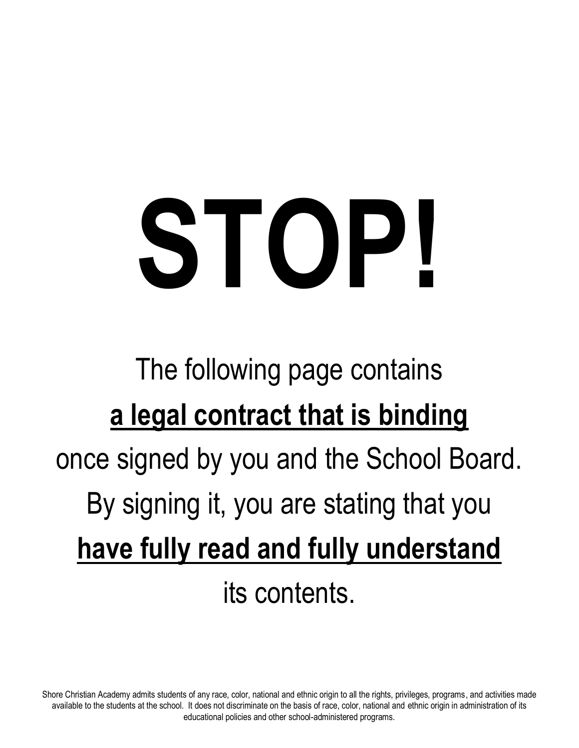# **STOP!**

# The following page contains **a legal contract that is binding**  once signed by you and the School Board. By signing it, you are stating that you **have fully read and fully understand** its contents.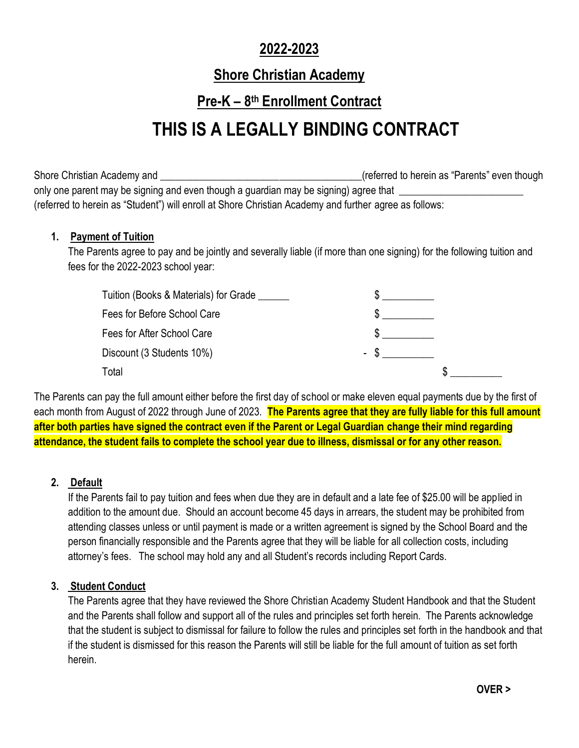#### **2022-2023**

#### **Shore Christian Academy**

#### **Pre-K – 8 th Enrollment Contract**

# **THIS IS A LEGALLY BINDING CONTRACT**

Shore Christian Academy and **Election Control** Christian Academy and **Election Christian Academy and** Letter According to the Christian Academy and Letter According to the Christian According to though only one parent may be signing and even though a guardian may be signing) agree that \_ (referred to herein as "Student") will enroll at Shore Christian Academy and further agree as follows:

#### **1. Payment of Tuition**

The Parents agree to pay and be jointly and severally liable (if more than one signing) for the following tuition and fees for the 2022-2023 school year:

| Tuition (Books & Materials) for Grade |  |
|---------------------------------------|--|
| Fees for Before School Care           |  |
| Fees for After School Care            |  |
| Discount (3 Students 10%)             |  |
| Total                                 |  |

The Parents can pay the full amount either before the first day of school or make eleven equal payments due by the first of each month from August of 2022 through June of 2023. **The Parents agree that they are fully liable for this full amount after both parties have signed the contract even if the Parent or Legal Guardian change their mind regarding attendance, the student fails to complete the school year due to illness, dismissal or for any other reason.**

#### **2. Default**

If the Parents fail to pay tuition and fees when due they are in default and a late fee of \$25.00 will be applied in addition to the amount due. Should an account become 45 days in arrears, the student may be prohibited from attending classes unless or until payment is made or a written agreement is signed by the School Board and the person financially responsible and the Parents agree that they will be liable for all collection costs, including attorney's fees. The school may hold any and all Student's records including Report Cards.

#### **3. Student Conduct**

The Parents agree that they have reviewed the Shore Christian Academy Student Handbook and that the Student and the Parents shall follow and support all of the rules and principles set forth herein. The Parents acknowledge that the student is subject to dismissal for failure to follow the rules and principles set forth in the handbook and that if the student is dismissed for this reason the Parents will still be liable for the full amount of tuition as set forth herein.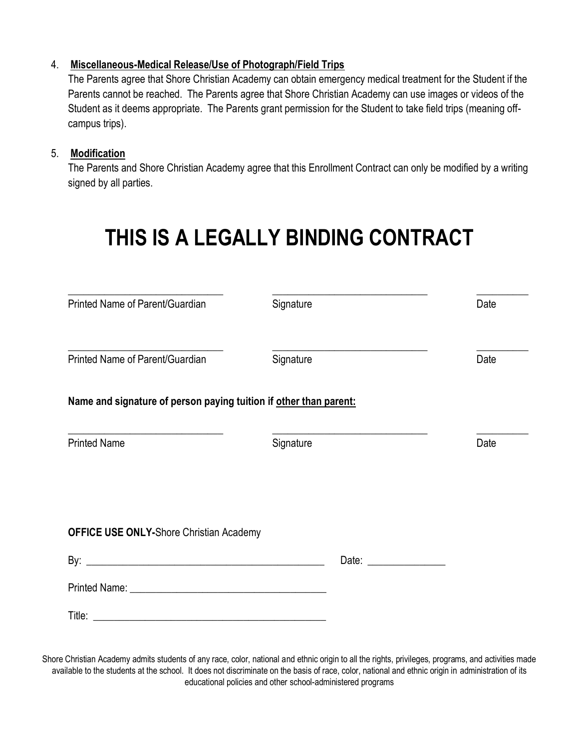#### 4. **Miscellaneous-Medical Release/Use of Photograph/Field Trips**

The Parents agree that Shore Christian Academy can obtain emergency medical treatment for the Student if the Parents cannot be reached. The Parents agree that Shore Christian Academy can use images or videos of the Student as it deems appropriate. The Parents grant permission for the Student to take field trips (meaning offcampus trips).

#### 5. **Modification**

The Parents and Shore Christian Academy agree that this Enrollment Contract can only be modified by a writing signed by all parties.

# **THIS IS A LEGALLY BINDING CONTRACT**

| Printed Name of Parent/Guardian                                   | Signature                                                                                              | Date |
|-------------------------------------------------------------------|--------------------------------------------------------------------------------------------------------|------|
| Printed Name of Parent/Guardian                                   | Signature                                                                                              | Date |
| Name and signature of person paying tuition if other than parent: |                                                                                                        |      |
| <b>Printed Name</b>                                               | the control of the control of the control of the control of the control of the control of<br>Signature | Date |
|                                                                   |                                                                                                        |      |
| <b>OFFICE USE ONLY-Shore Christian Academy</b>                    |                                                                                                        |      |
|                                                                   | Date: $\frac{1}{\sqrt{1-\frac{1}{2}}\cdot\frac{1}{2}}$                                                 |      |
|                                                                   |                                                                                                        |      |
|                                                                   |                                                                                                        |      |
|                                                                   |                                                                                                        |      |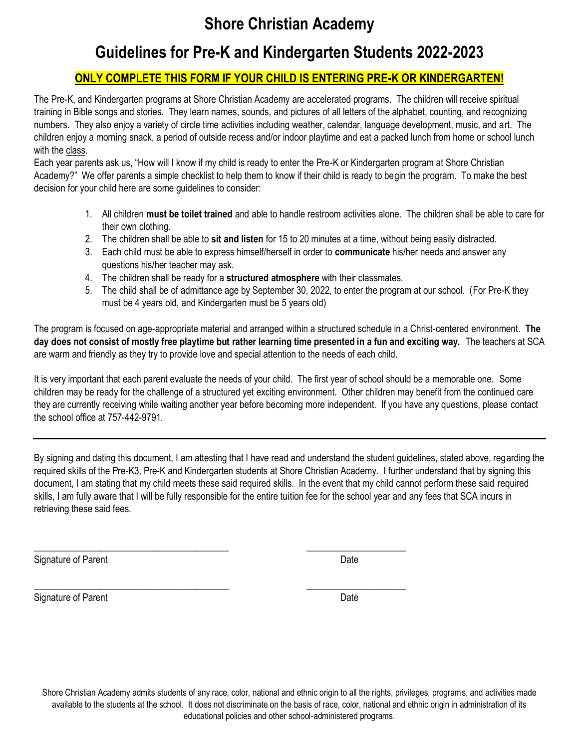## **Shore Christian Academy**

### **Guidelines for Pre-K and Kindergarten Students 2022-2023**

#### **ONLY COMPLETE THIS FORM IF YOUR CHILD IS ENTERING PRE-K OR KINDERGARTEN!**

The Pre-K, and Kindergarten programs at Shore Christian Academy are accelerated programs. The children will receive spiritual training in Bible songs and stories. They learn names, sounds, and pictures of all letters of the alphabet, counting, and recognizing numbers. They also enjoy a variety of circle time activities including weather, calendar, language development, music, and art. The children enjoy a morning snack, a period of outside recess and/or indoor playtime and eat a packed lunch from home or school lunch with the class.

Each year parents ask us, "How will I know if my child is ready to enter the Pre-K or Kindergarten program at Shore Christian Academy?" We offer parents a simple checklist to help them to know if their child is ready to begin the program. To make the best decision for your child here are some guidelines to consider:

- 1. All children **must be toilet trained** and able to handle restroom activities alone. The children shall be able to care for their own clothing.
- 2. The children shall be able to **sit and listen** for 15 to 20 minutes at a time, without being easily distracted.
- 3. Each child must be able to express himself/herself in order to **communicate** his/her needs and answer any questions his/her teacher may ask.
- 4. The children shall be ready for a **structured atmosphere** with their classmates.

\_\_\_\_\_\_\_\_\_\_\_\_\_\_\_\_\_\_\_\_\_\_\_\_\_\_\_\_\_\_\_\_\_\_\_\_\_\_\_\_\_ \_\_\_\_\_\_\_\_\_\_\_\_\_\_\_\_\_\_\_\_\_

\_\_\_\_\_\_\_\_\_\_\_\_\_\_\_\_\_\_\_\_\_\_\_\_\_\_\_\_\_\_\_\_\_\_\_\_\_\_\_\_\_ \_\_\_\_\_\_\_\_\_\_\_\_\_\_\_\_\_\_\_\_\_

5. The child shall be of admittance age by September 30, 2022, to enter the program at our school. (For Pre-K they must be 4 years old, and Kindergarten must be 5 years old)

The program is focused on age-appropriate material and arranged within a structured schedule in a Christ-centered environment. **The day does not consist of mostly free playtime but rather learning time presented in a fun and exciting way.** The teachers at SCA are warm and friendly as they try to provide love and special attention to the needs of each child.

It is very important that each parent evaluate the needs of your child. The first year of school should be a memorable one. Some children may be ready for the challenge of a structured yet exciting environment. Other children may benefit from the continued care they are currently receiving while waiting another year before becoming more independent. If you have any questions, please contact the school office at 757-442-9791.

By signing and dating this document, I am attesting that I have read and understand the student guidelines, stated above, regarding the required skills of the Pre-K3, Pre-K and Kindergarten students at Shore Christian Academy. I further understand that by signing this document, I am stating that my child meets these said required skills. In the event that my child cannot perform these said required skills, I am fully aware that I will be fully responsible for the entire tuition fee for the school year and any fees that SCA incurs in retrieving these said fees.

Signature of Parent Date

Signature of Parent Date Contract Contract Contract Contract Contract Contract Contract Contract Contract Contract Contract Contract Contract Contract Contract Contract Contract Contract Contract Contract Contract Contract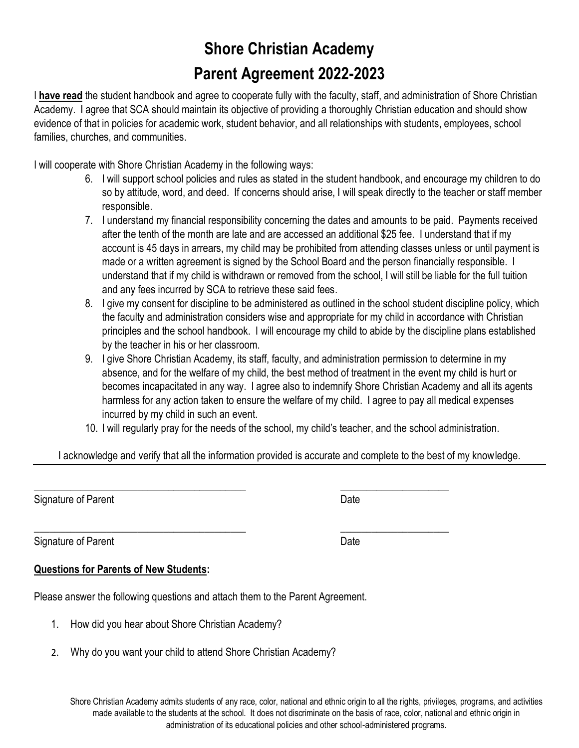# **Shore Christian Academy Parent Agreement 2022-2023**

I **have read** the student handbook and agree to cooperate fully with the faculty, staff, and administration of Shore Christian Academy. I agree that SCA should maintain its objective of providing a thoroughly Christian education and should show evidence of that in policies for academic work, student behavior, and all relationships with students, employees, school families, churches, and communities.

I will cooperate with Shore Christian Academy in the following ways:

- 6. I will support school policies and rules as stated in the student handbook, and encourage my children to do so by attitude, word, and deed. If concerns should arise, I will speak directly to the teacher or staff member responsible.
- 7. I understand my financial responsibility concerning the dates and amounts to be paid. Payments received after the tenth of the month are late and are accessed an additional \$25 fee. I understand that if my account is 45 days in arrears, my child may be prohibited from attending classes unless or until payment is made or a written agreement is signed by the School Board and the person financially responsible. I understand that if my child is withdrawn or removed from the school, I will still be liable for the full tuition and any fees incurred by SCA to retrieve these said fees.
- 8. I give my consent for discipline to be administered as outlined in the school student discipline policy, which the faculty and administration considers wise and appropriate for my child in accordance with Christian principles and the school handbook. I will encourage my child to abide by the discipline plans established by the teacher in his or her classroom.
- 9. I give Shore Christian Academy, its staff, faculty, and administration permission to determine in my absence, and for the welfare of my child, the best method of treatment in the event my child is hurt or becomes incapacitated in any way. I agree also to indemnify Shore Christian Academy and all its agents harmless for any action taken to ensure the welfare of my child. I agree to pay all medical expenses incurred by my child in such an event.
- 10. I will regularly pray for the needs of the school, my child's teacher, and the school administration.

I acknowledge and verify that all the information provided is accurate and complete to the best of my knowledge.

\_\_\_\_\_\_\_\_\_\_\_\_\_\_\_\_\_\_\_\_\_\_\_\_\_\_\_\_\_\_\_\_\_\_\_\_\_\_\_\_\_ \_\_\_\_\_\_\_\_\_\_\_\_\_\_\_\_\_\_\_\_\_

\_\_\_\_\_\_\_\_\_\_\_\_\_\_\_\_\_\_\_\_\_\_\_\_\_\_\_\_\_\_\_\_\_\_\_\_\_\_\_\_\_ \_\_\_\_\_\_\_\_\_\_\_\_\_\_\_\_\_\_\_\_\_

Signature of Parent Date Date Date Date Date Date

Signature of Parent Date Date Date Date Date Date

#### **Questions for Parents of New Students:**

Please answer the following questions and attach them to the Parent Agreement.

- 1. How did you hear about Shore Christian Academy?
- 2. Why do you want your child to attend Shore Christian Academy?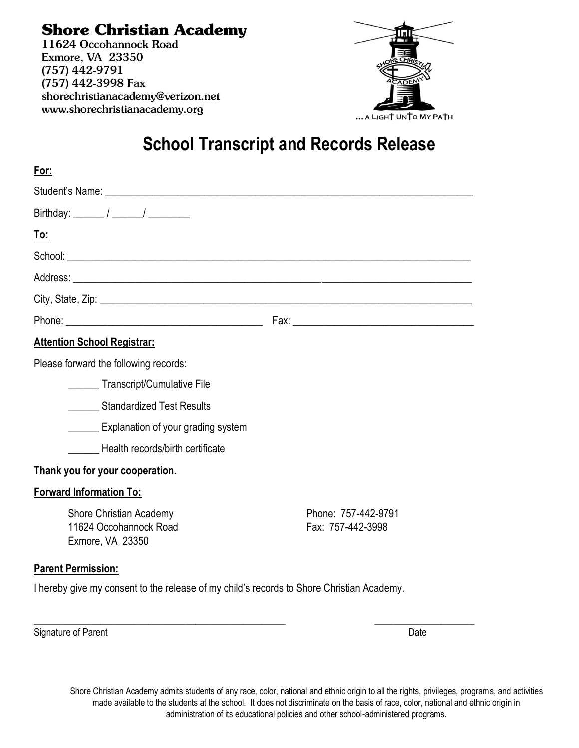**Shore Christian Academy** 11624 Occohannock Road Exmore, VA 23350  $(757)$  442-9791 (757) 442-3998 Fax shorechristianacademy@verizon.net www.shorechristianacademy.org



# **School Transcript and Records Release**

| For:                                                                         |                                          |
|------------------------------------------------------------------------------|------------------------------------------|
|                                                                              |                                          |
| Birthday: $\frac{1}{\sqrt{2\pi}}$                                            |                                          |
| <u>To:</u>                                                                   |                                          |
|                                                                              |                                          |
|                                                                              |                                          |
|                                                                              |                                          |
|                                                                              |                                          |
| <b>Attention School Registrar:</b>                                           |                                          |
| Please forward the following records:                                        |                                          |
| Transcript/Cumulative File                                                   |                                          |
| <b>Standardized Test Results</b>                                             |                                          |
| <b>Explanation of your grading system</b>                                    |                                          |
| Health records/birth certificate                                             |                                          |
| Thank you for your cooperation.                                              |                                          |
| <b>Forward Information To:</b>                                               |                                          |
| <b>Shore Christian Academy</b><br>11624 Occohannock Road<br>Exmore, VA 23350 | Phone: 757-442-9791<br>Fax: 757-442-3998 |
| <b>Parent Permission:</b>                                                    |                                          |

I hereby give my consent to the release of my child's records to Shore Christian Academy.

\_\_\_\_\_\_\_\_\_\_\_\_\_\_\_\_\_\_\_\_\_\_\_\_\_\_\_\_\_\_\_\_\_\_\_\_\_\_\_\_\_\_\_\_\_\_\_\_\_\_\_\_\_ \_\_\_\_\_\_\_\_\_\_\_\_\_\_\_\_\_\_\_\_\_

Signature of Parent Date Communication Communication Communication Communication Communication Communication Communication Communication Communication Communication Communication Communication Communication Communication C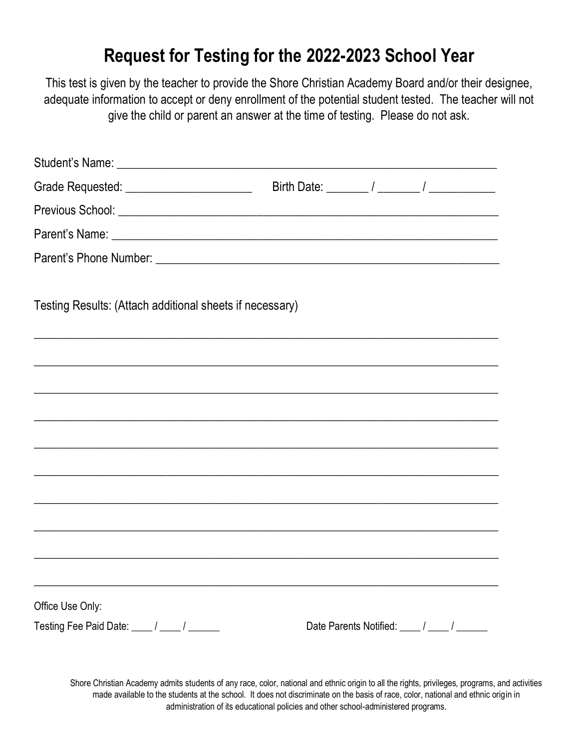# **Request for Testing for the 2022-2023 School Year**

This test is given by the teacher to provide the Shore Christian Academy Board and/or their designee, adequate information to accept or deny enrollment of the potential student tested. The teacher will not give the child or parent an answer at the time of testing. Please do not ask.

| Grade Requested: _________________________               |                                                                                  |
|----------------------------------------------------------|----------------------------------------------------------------------------------|
|                                                          |                                                                                  |
|                                                          |                                                                                  |
|                                                          |                                                                                  |
|                                                          |                                                                                  |
| Testing Results: (Attach additional sheets if necessary) |                                                                                  |
|                                                          |                                                                                  |
|                                                          | ,我们的人们就会在这里,我们的人们就会在这里,我们的人们就会在这里,我们的人们就会在这里,我们的人们就会在这里,我们的人们就会在这里,我们的人们就会在这里,我们 |
|                                                          |                                                                                  |
|                                                          |                                                                                  |
|                                                          |                                                                                  |
|                                                          |                                                                                  |
|                                                          |                                                                                  |
|                                                          |                                                                                  |
|                                                          |                                                                                  |
|                                                          |                                                                                  |
|                                                          |                                                                                  |
| Office Use Only:                                         |                                                                                  |
| Testing Fee Paid Date: ____ / ____ / _____               | Date Parents Notified: ____/ ____/                                               |
|                                                          |                                                                                  |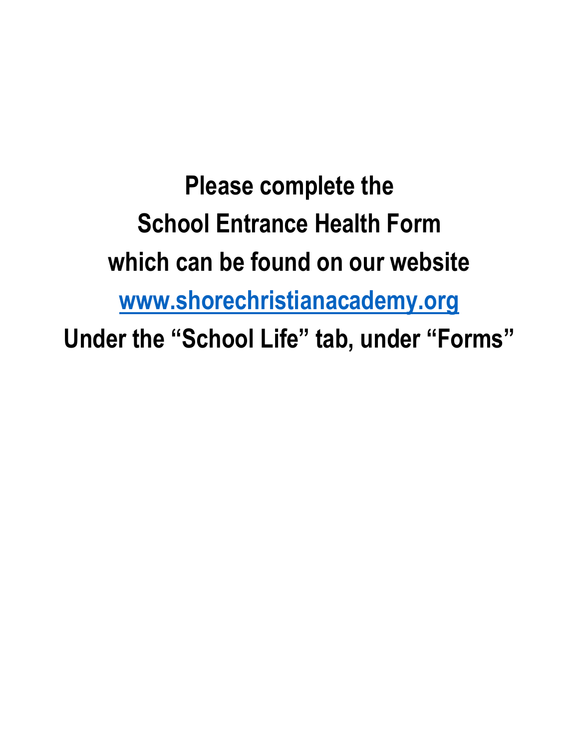**Please complete the School Entrance Health Form which can be found on our website [www.shorechristianacademy.org](http://www.shorechristianacademy.org/) Under the "School Life" tab, under "Forms"**